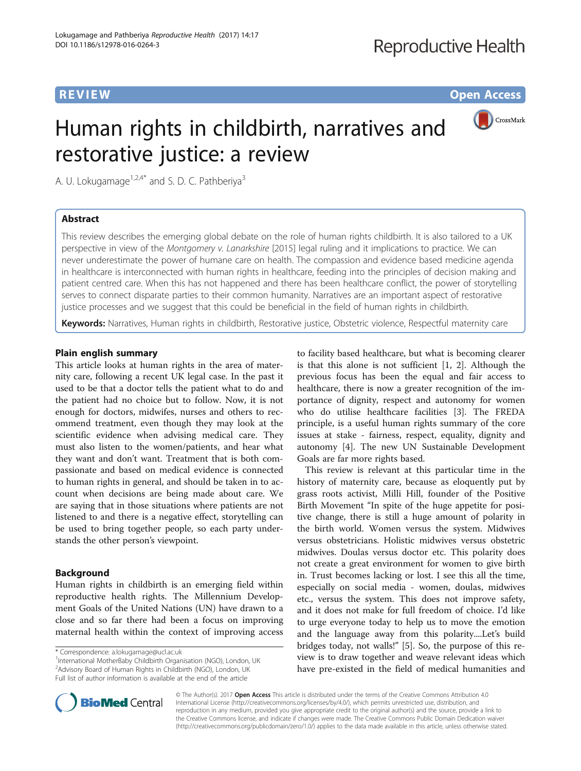**REVIEW CONSTRUCTION CONSTRUCTION CONSTRUCTS** 

CrossMark

# Human rights in childbirth, narratives and restorative justice: a review

A. U. Lokugamage<sup>1,2,4\*</sup> and S. D. C. Pathberiya<sup>3</sup>

# Abstract

This review describes the emerging global debate on the role of human rights childbirth. It is also tailored to a UK perspective in view of the Montgomery v. Lanarkshire [2015] legal ruling and it implications to practice. We can never underestimate the power of humane care on health. The compassion and evidence based medicine agenda in healthcare is interconnected with human rights in healthcare, feeding into the principles of decision making and patient centred care. When this has not happened and there has been healthcare conflict, the power of storytelling serves to connect disparate parties to their common humanity. Narratives are an important aspect of restorative justice processes and we suggest that this could be beneficial in the field of human rights in childbirth.

Keywords: Narratives, Human rights in childbirth, Restorative justice, Obstetric violence, Respectful maternity care

### Plain english summary

This article looks at human rights in the area of maternity care, following a recent UK legal case. In the past it used to be that a doctor tells the patient what to do and the patient had no choice but to follow. Now, it is not enough for doctors, midwifes, nurses and others to recommend treatment, even though they may look at the scientific evidence when advising medical care. They must also listen to the women/patients, and hear what they want and don't want. Treatment that is both compassionate and based on medical evidence is connected to human rights in general, and should be taken in to account when decisions are being made about care. We are saying that in those situations where patients are not listened to and there is a negative effect, storytelling can be used to bring together people, so each party understands the other person's viewpoint.

# Background

Human rights in childbirth is an emerging field within reproductive health rights. The Millennium Development Goals of the United Nations (UN) have drawn to a close and so far there had been a focus on improving maternal health within the context of improving access

<sup>1</sup>International MotherBaby Childbirth Organisation (NGO), London, UK <sup>2</sup> Advisory Board of Human Rights in Childbirth (NGO), London, UK Full list of author information is available at the end of the article

to facility based healthcare, but what is becoming clearer is that this alone is not sufficient [\[1](#page-5-0), [2\]](#page-5-0). Although the previous focus has been the equal and fair access to healthcare, there is now a greater recognition of the importance of dignity, respect and autonomy for women who do utilise healthcare facilities [\[3](#page-5-0)]. The FREDA principle, is a useful human rights summary of the core issues at stake - fairness, respect, equality, dignity and autonomy [\[4](#page-5-0)]. The new UN Sustainable Development Goals are far more rights based.

This review is relevant at this particular time in the history of maternity care, because as eloquently put by grass roots activist, Milli Hill, founder of the Positive Birth Movement "In spite of the huge appetite for positive change, there is still a huge amount of polarity in the birth world. Women versus the system. Midwives versus obstetricians. Holistic midwives versus obstetric midwives. Doulas versus doctor etc. This polarity does not create a great environment for women to give birth in. Trust becomes lacking or lost. I see this all the time, especially on social media - women, doulas, midwives etc., versus the system. This does not improve safety, and it does not make for full freedom of choice. I'd like to urge everyone today to help us to move the emotion and the language away from this polarity....Let's build bridges today, not walls!" [\[5](#page-5-0)]. So, the purpose of this review is to draw together and weave relevant ideas which have pre-existed in the field of medical humanities and



© The Author(s). 2017 **Open Access** This article is distributed under the terms of the Creative Commons Attribution 4.0 International License [\(http://creativecommons.org/licenses/by/4.0/](http://creativecommons.org/licenses/by/4.0/)), which permits unrestricted use, distribution, and reproduction in any medium, provided you give appropriate credit to the original author(s) and the source, provide a link to the Creative Commons license, and indicate if changes were made. The Creative Commons Public Domain Dedication waiver [\(http://creativecommons.org/publicdomain/zero/1.0/](http://creativecommons.org/publicdomain/zero/1.0/)) applies to the data made available in this article, unless otherwise stated.

<sup>\*</sup> Correspondence: [a.lokugamage@ucl.ac.uk](mailto:a.lokugamage@ucl.ac.uk) <sup>1</sup>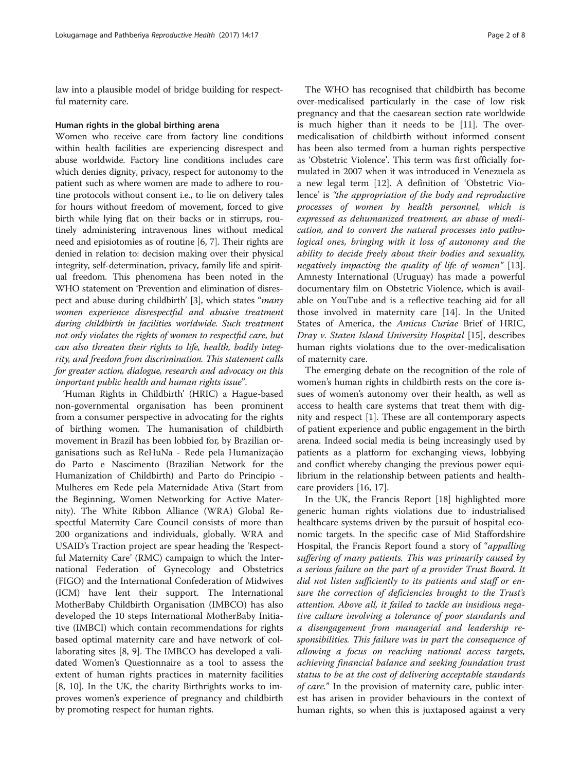law into a plausible model of bridge building for respectful maternity care.

#### Human rights in the global birthing arena

Women who receive care from factory line conditions within health facilities are experiencing disrespect and abuse worldwide. Factory line conditions includes care which denies dignity, privacy, respect for autonomy to the patient such as where women are made to adhere to routine protocols without consent i.e., to lie on delivery tales for hours without freedom of movement, forced to give birth while lying flat on their backs or in stirrups, routinely administering intravenous lines without medical need and episiotomies as of routine [\[6](#page-5-0), [7\]](#page-5-0). Their rights are denied in relation to: decision making over their physical integrity, self-determination, privacy, family life and spiritual freedom. This phenomena has been noted in the WHO statement on 'Prevention and elimination of disrespect and abuse during childbirth' [\[3\]](#page-5-0), which states "many women experience disrespectful and abusive treatment during childbirth in facilities worldwide. Such treatment not only violates the rights of women to respectful care, but can also threaten their rights to life, health, bodily integrity, and freedom from discrimination. This statement calls for greater action, dialogue, research and advocacy on this important public health and human rights issue".

'Human Rights in Childbirth' (HRIC) a Hague-based non-governmental organisation has been prominent from a consumer perspective in advocating for the rights of birthing women. The humanisation of childbirth movement in Brazil has been lobbied for, by Brazilian organisations such as ReHuNa - Rede pela Humanização do Parto e Nascimento (Brazilian Network for the Humanization of Childbirth) and Parto do Princípio - Mulheres em Rede pela Maternidade Ativa (Start from the Beginning, Women Networking for Active Maternity). The White Ribbon Alliance (WRA) Global Respectful Maternity Care Council consists of more than 200 organizations and individuals, globally. WRA and USAID's Traction project are spear heading the 'Respectful Maternity Care' (RMC) campaign to which the International Federation of Gynecology and Obstetrics (FIGO) and the International Confederation of Midwives (ICM) have lent their support. The International MotherBaby Childbirth Organisation (IMBCO) has also developed the 10 steps International MotherBaby Initiative (IMBCI) which contain recommendations for rights based optimal maternity care and have network of collaborating sites [\[8](#page-5-0), [9](#page-5-0)]. The IMBCO has developed a validated Women's Questionnaire as a tool to assess the extent of human rights practices in maternity facilities [[8, 10\]](#page-5-0). In the UK, the charity Birthrights works to improves women's experience of pregnancy and childbirth by promoting respect for human rights.

The WHO has recognised that childbirth has become over-medicalised particularly in the case of low risk pregnancy and that the caesarean section rate worldwide is much higher than it needs to be [[11](#page-5-0)]. The overmedicalisation of childbirth without informed consent has been also termed from a human rights perspective as 'Obstetric Violence'. This term was first officially formulated in 2007 when it was introduced in Venezuela as a new legal term [\[12](#page-5-0)]. A definition of 'Obstetric Violence' is "the appropriation of the body and reproductive processes of women by health personnel, which is expressed as dehumanized treatment, an abuse of medication, and to convert the natural processes into pathological ones, bringing with it loss of autonomy and the ability to decide freely about their bodies and sexuality, negatively impacting the quality of life of women" [\[13](#page-5-0)]. Amnesty International (Uruguay) has made a powerful documentary film on Obstetric Violence, which is available on YouTube and is a reflective teaching aid for all those involved in maternity care [[14\]](#page-5-0). In the United States of America, the Amicus Curiae Brief of HRIC, Dray v. Staten Island University Hospital [[15](#page-5-0)], describes human rights violations due to the over-medicalisation of maternity care.

The emerging debate on the recognition of the role of women's human rights in childbirth rests on the core issues of women's autonomy over their health, as well as access to health care systems that treat them with dignity and respect [\[1\]](#page-5-0). These are all contemporary aspects of patient experience and public engagement in the birth arena. Indeed social media is being increasingly used by patients as a platform for exchanging views, lobbying and conflict whereby changing the previous power equilibrium in the relationship between patients and healthcare providers [[16, 17\]](#page-5-0).

In the UK, the Francis Report [[18](#page-5-0)] highlighted more generic human rights violations due to industrialised healthcare systems driven by the pursuit of hospital economic targets. In the specific case of Mid Staffordshire Hospital, the Francis Report found a story of "appalling suffering of many patients. This was primarily caused by a serious failure on the part of a provider Trust Board. It did not listen sufficiently to its patients and staff or ensure the correction of deficiencies brought to the Trust's attention. Above all, it failed to tackle an insidious negative culture involving a tolerance of poor standards and a disengagement from managerial and leadership responsibilities. This failure was in part the consequence of allowing a focus on reaching national access targets, achieving financial balance and seeking foundation trust status to be at the cost of delivering acceptable standards of care." In the provision of maternity care, public interest has arisen in provider behaviours in the context of human rights, so when this is juxtaposed against a very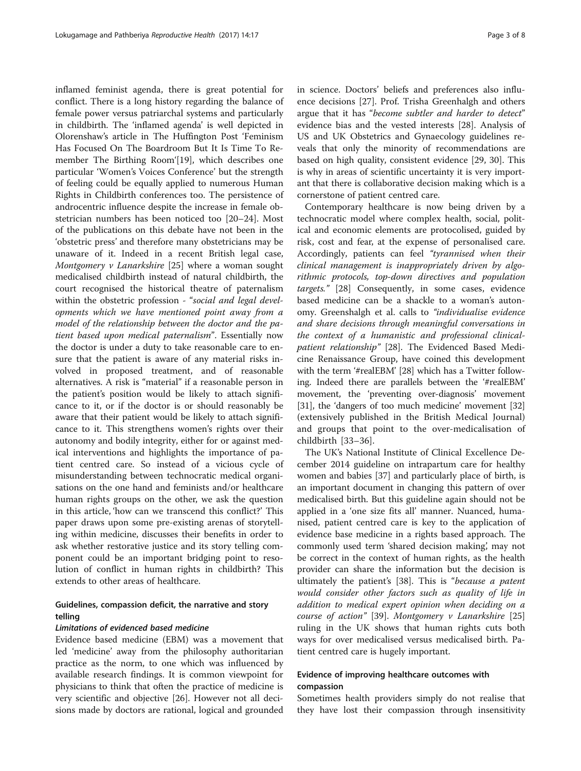inflamed feminist agenda, there is great potential for conflict. There is a long history regarding the balance of female power versus patriarchal systems and particularly in childbirth. The 'inflamed agenda' is well depicted in Olorenshaw's article in The Huffington Post 'Feminism Has Focused On The Boardroom But It Is Time To Remember The Birthing Room'[\[19\]](#page-5-0), which describes one particular 'Women's Voices Conference' but the strength of feeling could be equally applied to numerous Human Rights in Childbirth conferences too. The persistence of androcentric influence despite the increase in female obstetrician numbers has been noticed too [\[20](#page-6-0)–[24\]](#page-6-0). Most of the publications on this debate have not been in the 'obstetric press' and therefore many obstetricians may be unaware of it. Indeed in a recent British legal case, Montgomery v Lanarkshire [[25](#page-6-0)] where a woman sought medicalised childbirth instead of natural childbirth, the court recognised the historical theatre of paternalism within the obstetric profession - "social and legal developments which we have mentioned point away from a model of the relationship between the doctor and the patient based upon medical paternalism". Essentially now the doctor is under a duty to take reasonable care to ensure that the patient is aware of any material risks involved in proposed treatment, and of reasonable alternatives. A risk is "material" if a reasonable person in the patient's position would be likely to attach significance to it, or if the doctor is or should reasonably be aware that their patient would be likely to attach significance to it. This strengthens women's rights over their autonomy and bodily integrity, either for or against medical interventions and highlights the importance of patient centred care. So instead of a vicious cycle of misunderstanding between technocratic medical organisations on the one hand and feminists and/or healthcare human rights groups on the other, we ask the question in this article, 'how can we transcend this conflict?' This paper draws upon some pre-existing arenas of storytelling within medicine, discusses their benefits in order to ask whether restorative justice and its story telling component could be an important bridging point to resolution of conflict in human rights in childbirth? This extends to other areas of healthcare.

# Guidelines, compassion deficit, the narrative and story telling

## Limitations of evidenced based medicine

Evidence based medicine (EBM) was a movement that led 'medicine' away from the philosophy authoritarian practice as the norm, to one which was influenced by available research findings. It is common viewpoint for physicians to think that often the practice of medicine is very scientific and objective [[26\]](#page-6-0). However not all decisions made by doctors are rational, logical and grounded in science. Doctors' beliefs and preferences also influence decisions [\[27](#page-6-0)]. Prof. Trisha Greenhalgh and others argue that it has "become subtler and harder to detect" evidence bias and the vested interests [[28\]](#page-6-0). Analysis of US and UK Obstetrics and Gynaecology guidelines reveals that only the minority of recommendations are based on high quality, consistent evidence [\[29](#page-6-0), [30\]](#page-6-0). This is why in areas of scientific uncertainty it is very important that there is collaborative decision making which is a cornerstone of patient centred care.

Contemporary healthcare is now being driven by a technocratic model where complex health, social, political and economic elements are protocolised, guided by risk, cost and fear, at the expense of personalised care. Accordingly, patients can feel "tyrannised when their clinical management is inappropriately driven by algorithmic protocols, top-down directives and population targets." [\[28\]](#page-6-0) Consequently, in some cases, evidence based medicine can be a shackle to a woman's autonomy. Greenshalgh et al. calls to "individualise evidence and share decisions through meaningful conversations in the context of a humanistic and professional clinicalpatient relationship" [[28\]](#page-6-0). The Evidenced Based Medicine Renaissance Group, have coined this development with the term '#realEBM' [\[28\]](#page-6-0) which has a Twitter following. Indeed there are parallels between the '#realEBM' movement, the 'preventing over-diagnosis' movement [[31](#page-6-0)], the 'dangers of too much medicine' movement [[32](#page-6-0)] (extensively published in the British Medical Journal) and groups that point to the over-medicalisation of childbirth [[33](#page-6-0)–[36\]](#page-6-0).

The UK's National Institute of Clinical Excellence December 2014 guideline on intrapartum care for healthy women and babies [[37\]](#page-6-0) and particularly place of birth, is an important document in changing this pattern of over medicalised birth. But this guideline again should not be applied in a 'one size fits all' manner. Nuanced, humanised, patient centred care is key to the application of evidence base medicine in a rights based approach. The commonly used term 'shared decision making', may not be correct in the context of human rights, as the health provider can share the information but the decision is ultimately the patient's [\[38\]](#page-6-0). This is "because a patent would consider other factors such as quality of life in addition to medical expert opinion when deciding on a course of action" [[39\]](#page-6-0). Montgomery v Lanarkshire [[25](#page-6-0)] ruling in the UK shows that human rights cuts both ways for over medicalised versus medicalised birth. Patient centred care is hugely important.

# Evidence of improving healthcare outcomes with compassion

Sometimes health providers simply do not realise that they have lost their compassion through insensitivity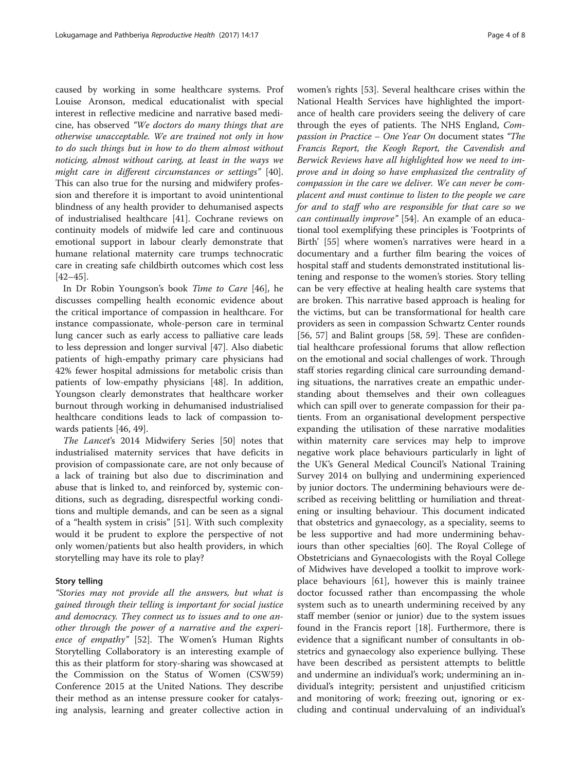caused by working in some healthcare systems. Prof Louise Aronson, medical educationalist with special interest in reflective medicine and narrative based medicine, has observed "We doctors do many things that are otherwise unacceptable. We are trained not only in how to do such things but in how to do them almost without noticing, almost without caring, at least in the ways we might care in different circumstances or settings" [\[40](#page-6-0)]. This can also true for the nursing and midwifery profession and therefore it is important to avoid unintentional blindness of any health provider to dehumanised aspects of industrialised healthcare [[41\]](#page-6-0). Cochrane reviews on continuity models of midwife led care and continuous emotional support in labour clearly demonstrate that humane relational maternity care trumps technocratic care in creating safe childbirth outcomes which cost less [[42](#page-6-0)–[45](#page-6-0)].

In Dr Robin Youngson's book Time to Care [\[46](#page-6-0)], he discusses compelling health economic evidence about the critical importance of compassion in healthcare. For instance compassionate, whole-person care in terminal lung cancer such as early access to palliative care leads to less depression and longer survival [[47](#page-6-0)]. Also diabetic patients of high-empathy primary care physicians had 42% fewer hospital admissions for metabolic crisis than patients of low-empathy physicians [[48\]](#page-6-0). In addition, Youngson clearly demonstrates that healthcare worker burnout through working in dehumanised industrialised healthcare conditions leads to lack of compassion towards patients [[46, 49\]](#page-6-0).

The Lancet's 2014 Midwifery Series [[50](#page-6-0)] notes that industrialised maternity services that have deficits in provision of compassionate care, are not only because of a lack of training but also due to discrimination and abuse that is linked to, and reinforced by, systemic conditions, such as degrading, disrespectful working conditions and multiple demands, and can be seen as a signal of a "health system in crisis" [[51\]](#page-6-0). With such complexity would it be prudent to explore the perspective of not only women/patients but also health providers, in which storytelling may have its role to play?

#### Story telling

"Stories may not provide all the answers, but what is gained through their telling is important for social justice and democracy. They connect us to issues and to one another through the power of a narrative and the experience of empathy" [[52\]](#page-6-0). The Women's Human Rights Storytelling Collaboratory is an interesting example of this as their platform for story-sharing was showcased at the Commission on the Status of Women (CSW59) Conference 2015 at the United Nations. They describe their method as an intense pressure cooker for catalysing analysis, learning and greater collective action in

women's rights [\[53](#page-6-0)]. Several healthcare crises within the National Health Services have highlighted the importance of health care providers seeing the delivery of care through the eyes of patients. The NHS England, Compassion in Practice – One Year On document states "The Francis Report, the Keogh Report, the Cavendish and Berwick Reviews have all highlighted how we need to improve and in doing so have emphasized the centrality of compassion in the care we deliver. We can never be complacent and must continue to listen to the people we care for and to staff who are responsible for that care so we can continually improve" [[54](#page-6-0)]. An example of an educational tool exemplifying these principles is 'Footprints of Birth' [\[55\]](#page-6-0) where women's narratives were heard in a documentary and a further film bearing the voices of hospital staff and students demonstrated institutional listening and response to the women's stories. Story telling can be very effective at healing health care systems that are broken. This narrative based approach is healing for the victims, but can be transformational for health care providers as seen in compassion Schwartz Center rounds [[56, 57](#page-6-0)] and Balint groups [\[58, 59](#page-6-0)]. These are confidential healthcare professional forums that allow reflection on the emotional and social challenges of work. Through staff stories regarding clinical care surrounding demanding situations, the narratives create an empathic understanding about themselves and their own colleagues which can spill over to generate compassion for their patients. From an organisational development perspective expanding the utilisation of these narrative modalities within maternity care services may help to improve negative work place behaviours particularly in light of the UK's General Medical Council's National Training Survey 2014 on bullying and undermining experienced by junior doctors. The undermining behaviours were described as receiving belittling or humiliation and threatening or insulting behaviour. This document indicated that obstetrics and gynaecology, as a speciality, seems to be less supportive and had more undermining behaviours than other specialties [\[60\]](#page-6-0). The Royal College of Obstetricians and Gynaecologists with the Royal College of Midwives have developed a toolkit to improve workplace behaviours [\[61\]](#page-6-0), however this is mainly trainee doctor focussed rather than encompassing the whole system such as to unearth undermining received by any staff member (senior or junior) due to the system issues found in the Francis report [[18\]](#page-5-0). Furthermore, there is evidence that a significant number of consultants in obstetrics and gynaecology also experience bullying. These have been described as persistent attempts to belittle and undermine an individual's work; undermining an individual's integrity; persistent and unjustified criticism and monitoring of work; freezing out, ignoring or excluding and continual undervaluing of an individual's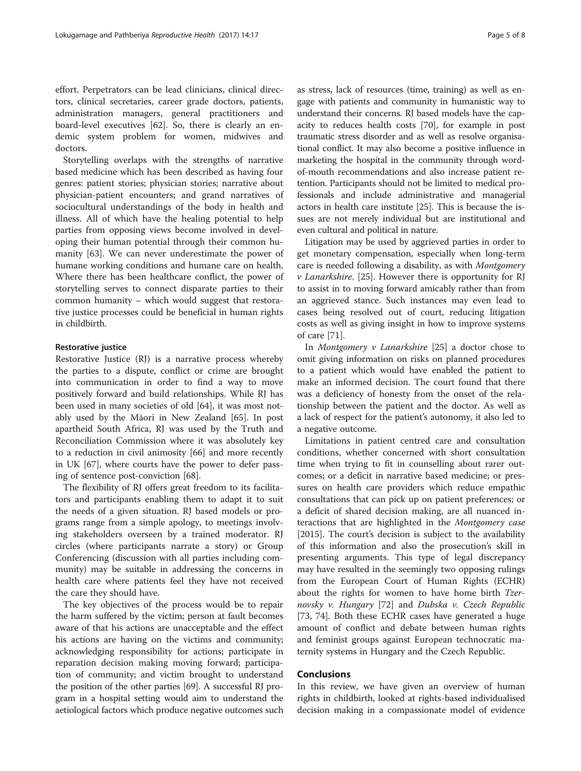effort. Perpetrators can be lead clinicians, clinical directors, clinical secretaries, career grade doctors, patients, administration managers, general practitioners and board-level executives [\[62\]](#page-6-0). So, there is clearly an endemic system problem for women, midwives and doctors.

Storytelling overlaps with the strengths of narrative based medicine which has been described as having four genres: patient stories; physician stories; narrative about physician-patient encounters; and grand narratives of sociocultural understandings of the body in health and illness. All of which have the healing potential to help parties from opposing views become involved in developing their human potential through their common humanity [[63\]](#page-6-0). We can never underestimate the power of humane working conditions and humane care on health. Where there has been healthcare conflict, the power of storytelling serves to connect disparate parties to their common humanity – which would suggest that restorative justice processes could be beneficial in human rights in childbirth.

#### Restorative justice

Restorative Justice (RJ) is a narrative process whereby the parties to a dispute, conflict or crime are brought into communication in order to find a way to move positively forward and build relationships. While RJ has been used in many societies of old [[64\]](#page-6-0), it was most notably used by the Māori in New Zealand [[65\]](#page-6-0). In post apartheid South Africa, RJ was used by the Truth and Reconciliation Commission where it was absolutely key to a reduction in civil animosity [[66\]](#page-6-0) and more recently in UK [[67\]](#page-6-0), where courts have the power to defer passing of sentence post-conviction [[68\]](#page-6-0).

The flexibility of RJ offers great freedom to its facilitators and participants enabling them to adapt it to suit the needs of a given situation. RJ based models or programs range from a simple apology, to meetings involving stakeholders overseen by a trained moderator. RJ circles (where participants narrate a story) or Group Conferencing (discussion with all parties including community) may be suitable in addressing the concerns in health care where patients feel they have not received the care they should have.

The key objectives of the process would be to repair the harm suffered by the victim; person at fault becomes aware of that his actions are unacceptable and the effect his actions are having on the victims and community; acknowledging responsibility for actions; participate in reparation decision making moving forward; participation of community; and victim brought to understand the position of the other parties [[69](#page-6-0)]. A successful RJ program in a hospital setting would aim to understand the aetiological factors which produce negative outcomes such

as stress, lack of resources (time, training) as well as engage with patients and community in humanistic way to understand their concerns. RJ based models have the capacity to reduces health costs [\[70](#page-6-0)], for example in post traumatic stress disorder and as well as resolve organisational conflict. It may also become a positive influence in marketing the hospital in the community through wordof-mouth recommendations and also increase patient retention. Participants should not be limited to medical professionals and include administrative and managerial actors in health care institute [[25](#page-6-0)]. This is because the issues are not merely individual but are institutional and even cultural and political in nature.

Litigation may be used by aggrieved parties in order to get monetary compensation, especially when long-term care is needed following a disability, as with Montgomery  $v$  *Lanarkshire.* [[25\]](#page-6-0). However there is opportunity for RJ to assist in to moving forward amicably rather than from an aggrieved stance. Such instances may even lead to cases being resolved out of court, reducing litigation costs as well as giving insight in how to improve systems of care [[71](#page-6-0)].

In Montgomery v Lanarkshire [[25\]](#page-6-0) a doctor chose to omit giving information on risks on planned procedures to a patient which would have enabled the patient to make an informed decision. The court found that there was a deficiency of honesty from the onset of the relationship between the patient and the doctor. As well as a lack of respect for the patient's autonomy, it also led to a negative outcome.

Limitations in patient centred care and consultation conditions, whether concerned with short consultation time when trying to fit in counselling about rarer outcomes; or a deficit in narrative based medicine; or pressures on health care providers which reduce empathic consultations that can pick up on patient preferences; or a deficit of shared decision making, are all nuanced interactions that are highlighted in the Montgomery case [2015]. The court's decision is subject to the availability of this information and also the prosecution's skill in presenting arguments. This type of legal discrepancy may have resulted in the seemingly two opposing rulings from the European Court of Human Rights (ECHR) about the rights for women to have home birth *Tzer*novsky v. Hungary [[72\]](#page-6-0) and Dubska v. Czech Republic [[73, 74](#page-7-0)]. Both these ECHR cases have generated a huge amount of conflict and debate between human rights and feminist groups against European technocratic maternity systems in Hungary and the Czech Republic.

# Conclusions

In this review, we have given an overview of human rights in childbirth, looked at rights-based individualised decision making in a compassionate model of evidence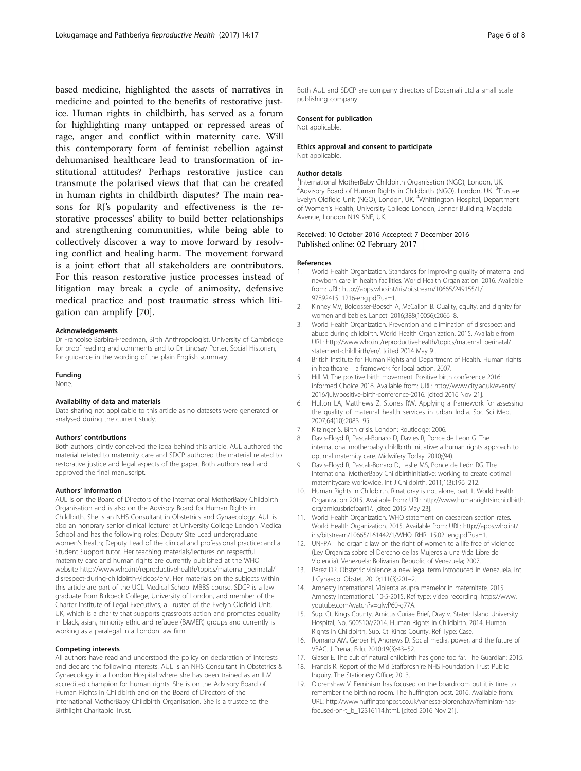<span id="page-5-0"></span>based medicine, highlighted the assets of narratives in medicine and pointed to the benefits of restorative justice. Human rights in childbirth, has served as a forum for highlighting many untapped or repressed areas of rage, anger and conflict within maternity care. Will this contemporary form of feminist rebellion against dehumanised healthcare lead to transformation of institutional attitudes? Perhaps restorative justice can transmute the polarised views that that can be created in human rights in childbirth disputes? The main reasons for RJ's popularity and effectiveness is the restorative processes' ability to build better relationships and strengthening communities, while being able to collectively discover a way to move forward by resolving conflict and healing harm. The movement forward is a joint effort that all stakeholders are contributors. For this reason restorative justice processes instead of litigation may break a cycle of animosity, defensive medical practice and post traumatic stress which litigation can amplify [[70\]](#page-6-0).

#### Acknowledgements

Dr Francoise Barbira-Freedman, Birth Anthropologist, University of Cambridge for proof reading and comments and to Dr Lindsay Porter, Social Historian, for guidance in the wording of the plain English summary.

#### Funding

None.

#### Availability of data and materials

Data sharing not applicable to this article as no datasets were generated or analysed during the current study.

#### Authors' contributions

Both authors jointly conceived the idea behind this article. AUL authored the material related to maternity care and SDCP authored the material related to restorative justice and legal aspects of the paper. Both authors read and approved the final manuscript.

#### Authors' information

AUL is on the Board of Directors of the International MotherBaby Childbirth Organisation and is also on the Advisory Board for Human Rights in Childbirth. She is an NHS Consultant in Obstetrics and Gynaecology. AUL is also an honorary senior clinical lecturer at University College London Medical School and has the following roles; Deputy Site Lead undergraduate women's health; Deputy Lead of the clinical and professional practice; and a Student Support tutor. Her teaching materials/lectures on respectful maternity care and human rights are currently published at the WHO website [http://www.who.int/reproductivehealth/topics/maternal\\_perinatal/](http://www.who.int/reproductivehealth/topics/maternal_perinatal/disrespect-during-childbirth-videos/en/) [disrespect-during-childbirth-videos/en/.](http://www.who.int/reproductivehealth/topics/maternal_perinatal/disrespect-during-childbirth-videos/en/) Her materials on the subjects within this article are part of the UCL Medical School MBBS course. SDCP is a law graduate from Birkbeck College, University of London, and member of the Charter Institute of Legal Executives, a Trustee of the Evelyn Oldfield Unit, UK, which is a charity that supports grassroots action and promotes equality in black, asian, minority ethic and refugee (BAMER) groups and currently is working as a paralegal in a London law firm.

#### Competing interests

All authors have read and understood the policy on declaration of interests and declare the following interests: AUL is an NHS Consultant in Obstetrics & Gynaecology in a London Hospital where she has been trained as an ILM accredited champion for human rights. She is on the Advisory Board of Human Rights in Childbirth and on the Board of Directors of the International MotherBaby Childbirth Organisation. She is a trustee to the Birthlight Charitable Trust.

Both AUL and SDCP are company directors of Docamali Ltd a small scale publishing company.

#### Consent for publication

Not applicable.

#### Ethics approval and consent to participate Not applicable.

#### Author details

<sup>1</sup>International MotherBaby Childbirth Organisation (NGO), London, UK <sup>2</sup> Advisory Board of Human Rights in Childbirth (NGO), London, UK.<sup>3</sup> Trustee Evelyn Oldfield Unit (NGO), London, UK. <sup>4</sup>Whittington Hospital, Department of Women's Health, University College London, Jenner Building, Magdala Avenue, London N19 5NF, UK.

#### Received: 10 October 2016 Accepted: 7 December 2016 Published online: 02 February 2017

#### References

- 1. World Health Organization. Standards for improving quality of maternal and newborn care in health facilities. World Health Organization. 2016. Available from: URL: [http://apps.who.int/iris/bitstream/10665/249155/1/](http://apps.who.int/iris/bitstream/10665/249155/1/9789241511216-eng.pdf?ua=1) [9789241511216-eng.pdf?ua=1](http://apps.who.int/iris/bitstream/10665/249155/1/9789241511216-eng.pdf?ua=1).
- 2. Kinney MV, Boldosser-Boesch A, McCallon B. Quality, equity, and dignity for women and babies. Lancet. 2016;388(10056):2066–8.
- 3. World Health Organization. Prevention and elimination of disrespect and abuse during childbirth. World Health Organization. 2015. Available from: URL: [http://www.who.int/reproductivehealth/topics/maternal\\_perinatal/](http://www.who.int/reproductivehealth/topics/maternal_perinatal/statement-childbirth/en/) [statement-childbirth/en/.](http://www.who.int/reproductivehealth/topics/maternal_perinatal/statement-childbirth/en/) [cited 2014 May 9].
- 4. British Institute for Human Rights and Department of Health. Human rights in healthcare – a framework for local action. 2007.
- 5. Hill M. The positive birth movement. Positive birth conference 2016: informed Choice 2016. Available from: URL: [http://www.city.ac.uk/events/](http://www.city.ac.uk/events/2016/july/positive-birth-conference-2016) [2016/july/positive-birth-conference-2016.](http://www.city.ac.uk/events/2016/july/positive-birth-conference-2016) [cited 2016 Nov 21].
- 6. Hulton LA, Matthews Z, Stones RW. Applying a framework for assessing the quality of maternal health services in urban India. Soc Sci Med. 2007;64(10):2083–95.
- 7. Kitzinger S. Birth crisis. London: Routledge; 2006.
- 8. Davis-Floyd R, Pascal-Bonaro D, Davies R, Ponce de Leon G. The international motherbaby childbirth initiative: a human rights approach to optimal maternity care. Midwifery Today. 2010;(94).
- 9. Davis-Floyd R, Pascali-Bonaro D, Leslie MS, Ponce de León RG. The International MotherBaby ChildbirthInitiative: working to create optimal maternitycare worldwide. Int J Childbirth. 2011;1(3):196–212.
- 10. Human Rights in Childbirth. Rinat dray is not alone, part 1. World Health Organization 2015. Available from: URL: [http://www.humanrightsinchildbirth.](http://www.humanrightsinchildbirth.org/amicusbriefpart1/) [org/amicusbriefpart1/.](http://www.humanrightsinchildbirth.org/amicusbriefpart1/) [cited 2015 May 23].
- 11. World Health Organization. WHO statement on caesarean section rates. World Health Organization. 2015. Available from: URL: [http://apps.who.int/](http://apps.who.int/iris/bitstream/10665/161442/1/WHO_RHR_15.02_eng.pdf?ua=1) [iris/bitstream/10665/161442/1/WHO\\_RHR\\_15.02\\_eng.pdf?ua=1](http://apps.who.int/iris/bitstream/10665/161442/1/WHO_RHR_15.02_eng.pdf?ua=1).
- 12. UNFPA. The organic law on the right of women to a life free of violence (Ley Organica sobre el Derecho de las Mujeres a una Vida Libre de Violencia). Venezuela: Bolivarian Republic of Venezuela; 2007.
- 13. Perez DR. Obstetric violence: a new legal term introduced in Venezuela. Int J Gynaecol Obstet. 2010;111(3):201–2.
- 14. Amnesty International. Violenta asupra mamelor in maternitate. 2015. Amnesty International. 10-5-2015. Ref type: video recording. [https://www.](https://www.youtube.com/watch?v=glwP60-g77A) [youtube.com/watch?v=glwP60-g77A.](https://www.youtube.com/watch?v=glwP60-g77A)
- 15. Sup. Ct. Kings County. Amicus Curiae Brief, Dray v. Staten Island University Hospital, No. 500510//2014. Human Rights in Childbirth. 2014. Human Rights in Childbirth, Sup. Ct. Kings County. Ref Type: Case.
- 16. Romano AM, Gerber H, Andrews D. Social media, power, and the future of VBAC. J Prenat Edu. 2010;19(3):43–52.
- 17. Glaser E. The cult of natural childbirth has gone too far. The Guardian; 2015.
- 18. Francis R. Report of the Mid Staffordshire NHS Foundation Trust Public Inquiry. The Stationery Office; 2013.
- 19. Olorenshaw V. Feminism has focused on the boardroom but it is time to remember the birthing room. The huffington post. 2016. Available from: URL: [http://www.huffingtonpost.co.uk/vanessa-olorenshaw/feminism-has](http://www.huffingtonpost.co.uk/vanessa-olorenshaw/feminism-has-focused-on-t_b_12316114.html)[focused-on-t\\_b\\_12316114.html.](http://www.huffingtonpost.co.uk/vanessa-olorenshaw/feminism-has-focused-on-t_b_12316114.html) [cited 2016 Nov 21].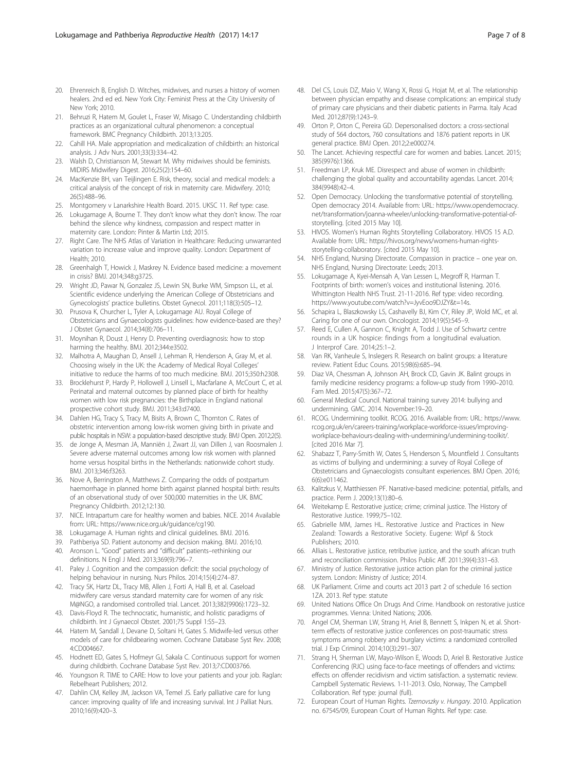- <span id="page-6-0"></span>20. Ehrenreich B, English D. Witches, midwives, and nurses a history of women healers. 2nd ed ed. New York City: Feminist Press at the City University of New York; 2010.
- 21. Behruzi R, Hatem M, Goulet L, Fraser W, Misago C. Understanding childbirth practices as an organizational cultural phenomenon: a conceptual framework. BMC Pregnancy Childbirth. 2013;13:205.
- 22. Cahill HA. Male appropriation and medicalization of childbirth: an historical analysis. J Adv Nurs. 2001;33(3):334–42.
- 23. Walsh D, Christianson M, Stewart M. Why midwives should be feminists. MIDIRS Midwifery Digest. 2016;25(2):154–60.
- 24. MacKenzie BH, van Teijlingen E. Risk, theory, social and medical models: a critical analysis of the concept of risk in maternity care. Midwifery. 2010; 26(5):488–96.
- 25. Montgomery v Lanarkshire Health Board. 2015. UKSC 11. Ref type: case.
- 26. Lokugamage A, Bourne T. They don't know what they don't know. The roar behind the silence why kindness, compassion and respect matter in maternity care. London: Pinter & Martin Ltd; 2015.
- 27. Right Care. The NHS Atlas of Variation in Healthcare: Reducing unwarranted variation to increase value and improve quality. London: Department of Health; 2010.
- 28. Greenhalgh T, Howick J, Maskrey N. Evidence based medicine: a movement in crisis? BMJ. 2014;348:g3725.
- 29. Wright JD, Pawar N, Gonzalez JS, Lewin SN, Burke WM, Simpson LL, et al. Scientific evidence underlying the American College of Obstetricians and Gynecologists' practice bulletins. Obstet Gynecol. 2011;118(3):505–12.
- 30. Prusova K, Churcher L, Tyler A, Lokugamage AU. Royal College of Obstetricians and Gynaecologists guidelines: how evidence-based are they? J Obstet Gynaecol. 2014;34(8):706–11.
- 31. Moynihan R, Doust J, Henry D. Preventing overdiagnosis: how to stop harming the healthy. BMJ. 2012;344:e3502.
- 32. Malhotra A, Maughan D, Ansell J, Lehman R, Henderson A, Gray M, et al. Choosing wisely in the UK: the Academy of Medical Royal Colleges' initiative to reduce the harms of too much medicine. BMJ. 2015;350:h2308.
- 33. Brocklehurst P, Hardy P, Hollowell J, Linsell L, Macfarlane A, McCourt C, et al. Perinatal and maternal outcomes by planned place of birth for healthy women with low risk pregnancies: the Birthplace in England national prospective cohort study. BMJ. 2011;343:d7400.
- 34. Dahlen HG, Tracy S, Tracy M, Bisits A, Brown C, Thornton C. Rates of obstetric intervention among low-risk women giving birth in private and public hospitals in NSW: a population-based descriptive study. BMJ Open. 2012;2(5).
- 35. de Jonge A, Mesman JA, Manniën J, Zwart JJ, van Dillen J, van Roosmalen J. Severe adverse maternal outcomes among low risk women with planned home versus hospital births in the Netherlands: nationwide cohort study. BMJ. 2013;346:f3263.
- 36. Nove A, Berrington A, Matthews Z. Comparing the odds of postpartum haemorrhage in planned home birth against planned hospital birth: results of an observational study of over 500,000 maternities in the UK. BMC Pregnancy Childbirth. 2012;12:130.
- 37. NICE. Intrapartum care for healthy women and babies. NICE. 2014 Available from: URL:<https://www.nice.org.uk/guidance/cg190>.
- 38. Lokugamage A. Human rights and clinical guidelines. BMJ. 2016.
- 39. Pathberiya SD. Patient autonomy and decision making. BMJ. 2016;10.
- 40. Aronson L. "Good" patients and "difficult" patients–rethinking our definitions. N Engl J Med. 2013;369(9):796–7.
- 41. Paley J. Cognition and the compassion deficit: the social psychology of helping behaviour in nursing. Nurs Philos. 2014;15(4):274–87.
- 42. Tracy SK, Hartz DL, Tracy MB, Allen J, Forti A, Hall B, et al. Caseload midwifery care versus standard maternity care for women of any risk: M@NGO, a randomised controlled trial. Lancet. 2013;382(9906):1723–32.
- 43. Davis-Floyd R. The technocratic, humanistic, and holistic paradigms of childbirth. Int J Gynaecol Obstet. 2001;75 Suppl 1:S5–23.
- 44. Hatem M, Sandall J, Devane D, Soltani H, Gates S. Midwife-led versus other models of care for childbearing women. Cochrane Database Syst Rev. 2008; 4:CD004667.
- 45. Hodnett ED, Gates S, Hofmeyr GJ, Sakala C. Continuous support for women during childbirth. Cochrane Database Syst Rev. 2013;7:CD003766.
- 46. Youngson R. TIME to CARE: How to love your patients and your job. Raglan: Rebelheart Publishers; 2012.
- 47. Dahlin CM, Kelley JM, Jackson VA, Temel JS. Early palliative care for lung cancer: improving quality of life and increasing survival. Int J Palliat Nurs. 2010;16(9):420–3.
- 48. Del CS, Louis DZ, Maio V, Wang X, Rossi G, Hojat M, et al. The relationship between physician empathy and disease complications: an empirical study of primary care physicians and their diabetic patients in Parma. Italy Acad Med. 2012;87(9):1243–9.
- 49. Orton P, Orton C, Pereira GD. Depersonalised doctors: a cross-sectional study of 564 doctors, 760 consultations and 1876 patient reports in UK general practice. BMJ Open. 2012;2:e000274.
- 50. The Lancet. Achieving respectful care for women and babies. Lancet. 2015; 385(9976):1366.
- 51. Freedman LP, Kruk ME. Disrespect and abuse of women in childbirth: challenging the global quality and accountability agendas. Lancet. 2014; 384(9948):42–4.
- 52. Open Democracy. Unlocking the transformative potential of storytelling. Open democracy 2014. Available from: URL: [https://www.opendemocracy.](https://www.opendemocracy.net/transformation/joanna-wheeler/unlocking-transformative-potential-of-storytelling) [net/transformation/joanna-wheeler/unlocking-transformative-potential-of](https://www.opendemocracy.net/transformation/joanna-wheeler/unlocking-transformative-potential-of-storytelling)[storytelling](https://www.opendemocracy.net/transformation/joanna-wheeler/unlocking-transformative-potential-of-storytelling). [cited 2015 May 10].
- 53. HIVOS. Women's Human Rights Storytelling Collaboratory. HIVOS 15 A.D. Available from: URL: [https://hivos.org/news/womens-human-rights](https://hivos.org/news/womens-human-rights-storytelling-collaboratory)[storytelling-collaboratory](https://hivos.org/news/womens-human-rights-storytelling-collaboratory). [cited 2015 May 10].
- 54. NHS England, Nursing Directorate. Compassion in practice one year on. NHS England, Nursing Directorate: Leeds; 2013.
- 55. Lokugamage A, Kyei-Mensah A, Van Lessen L, Megroff R, Harman T. Footprints of birth: women's voices and institutional listening. 2016. Whittington Health NHS Trust. 21-11-2016. Ref type: video recording. [https://www.youtube.com/watch?v=JyvEoo9DJZY&t=14s.](https://www.youtube.com/watch?v=JyvEoo9DJZY&t=14s)
- 56. Schapira L, Blaszkowsky LS, Cashavelly BJ, Kim CY, Riley JP, Wold MC, et al. Caring for one of our own. Oncologist. 2014;19(5):545–9.
- 57. Reed E, Cullen A, Gannon C, Knight A, Todd J. Use of Schwartz centre rounds in a UK hospice: findings from a longitudinal evaluation. J Interprof Care. 2014;25:1–2.
- 58. Van RK, Vanheule S, Inslegers R. Research on balint groups: a literature review. Patient Educ Couns. 2015;98(6):685–94.
- 59. Diaz VA, Chessman A, Johnson AH, Brock CD, Gavin JK. Balint groups in family medicine residency programs: a follow-up study from 1990–2010. Fam Med. 2015;47(5):367–72.
- 60. General Medical Council. National training survey 2014: bullying and undermining. GMC. 2014. November:19–20.
- 61. RCOG. Undermining toolkit. RCOG. 2016. Available from: URL: [https://www.](https://www.rcog.org.uk/en/careers-training/workplace-workforce-issues/improving-workplace-behaviours-dealing-with-undermining/undermining-toolkit/) [rcog.org.uk/en/careers-training/workplace-workforce-issues/improving](https://www.rcog.org.uk/en/careers-training/workplace-workforce-issues/improving-workplace-behaviours-dealing-with-undermining/undermining-toolkit/)[workplace-behaviours-dealing-with-undermining/undermining-toolkit/.](https://www.rcog.org.uk/en/careers-training/workplace-workforce-issues/improving-workplace-behaviours-dealing-with-undermining/undermining-toolkit/) [cited 2016 Mar 7].
- 62. Shabazz T, Parry-Smith W, Oates S, Henderson S, Mountfield J. Consultants as victims of bullying and undermining: a survey of Royal College of Obstetricians and Gynaecologists consultant experiences. BMJ Open. 2016; 6(6):e011462.
- 63. Kalitzkus V, Matthiessen PF. Narrative-based medicine: potential, pitfalls, and practice. Perm J. 2009;13(1):80–6.
- 64. Weitekamp E. Restorative justice; crime; criminal justice. The History of Restorative Justice. 1999;75–102.
- 65. Gabrielle MM, James HL. Restorative Justice and Practices in New Zealand: Towards a Restorative Society. Eugene: Wipf & Stock Publishers; 2010.
- 66. Alliais L. Restorative justice, retributive justice, and the south african truth and reconciliation commission. Philos Public Aff. 2011;39(4):331–63.
- 67. Ministry of Justice. Restorative justice action plan for the criminal justice system. London: Ministry of Justice; 2014.
- 68. UK Parliament. Crime and courts act 2013 part 2 of schedule 16 section 1ZA. 2013. Ref type: statute
- 69. United Nations Office On Drugs And Crime. Handbook on restorative justice programmes. Vienna: United Nations; 2006.
- 70. Angel CM, Sherman LW, Strang H, Ariel B, Bennett S, Inkpen N, et al. Shortterm effects of restorative justice conferences on post-traumatic stress symptoms among robbery and burglary victims: a randomized controlled trial. J Exp Criminol. 2014;10(3):291–307.
- 71. Strang H, Sherman LW, Mayo-Wilson E, Woods D, Ariel B. Restorative Justice Conferencing (RJC) using face-to-face meetings of offenders and victims: effects on offender recidivism and victim satisfaction. a systematic review. Campbell Systematic Reviews. 1-11-2013. Oslo, Norway, The Campbell Collaboration. Ref type: journal (full).
- 72. European Court of Human Rights. Tzernovszky v. Hungary. 2010. Application no. 67545/09, European Court of Human Rights. Ref type: case.